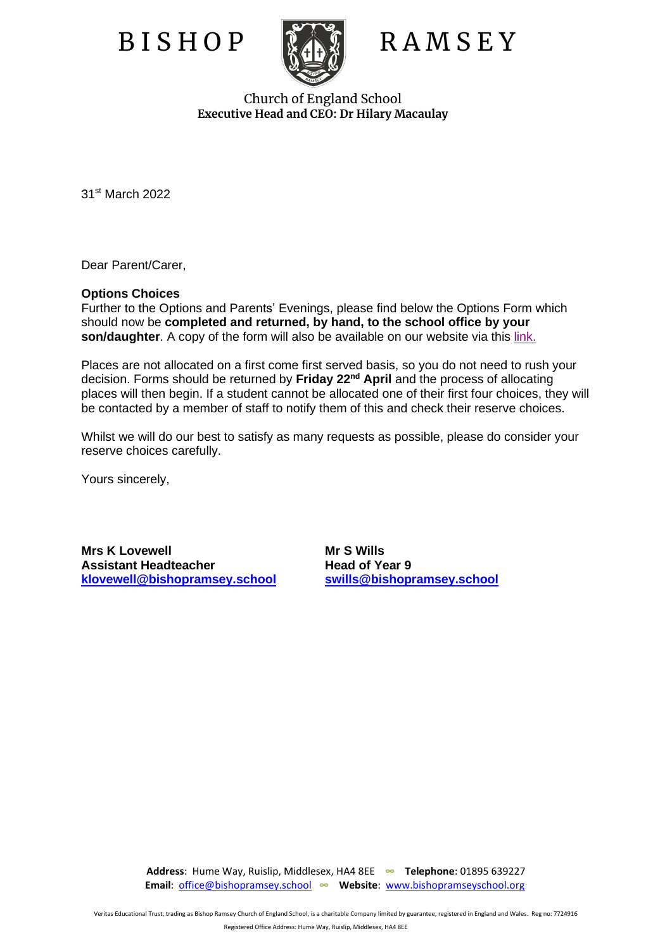

## B I S H O P RA M S E Y

Church of England School **Executive Head and CEO: Dr Hilary Macaulay**

31st March 2022

Dear Parent/Carer,

## **Options Choices**

Further to the Options and Parents' Evenings, please find below the Options Form which should now be **completed and returned, by hand, to the school office by your son/daughter**. A copy of the form will also be available on our website via this [link.](https://www.bishopramseyschool.org/page/?title=Year+9+Learning+Journey+Information&pid=1306)

Places are not allocated on a first come first served basis, so you do not need to rush your decision. Forms should be returned by **Friday 22nd April** and the process of allocating places will then begin. If a student cannot be allocated one of their first four choices, they will be contacted by a member of staff to notify them of this and check their reserve choices.

Whilst we will do our best to satisfy as many requests as possible, please do consider your reserve choices carefully.

Yours sincerely,

**Mrs K Lovewell Mr S Wills Assistant Headteacher [klovewell@bishopramsey.school](mailto:klovewell@bishopramsey.school) [swills@bishopramsey.school](mailto:swills@bishopramsey.school)**

**Address**: Hume Way, Ruislip, Middlesex, HA4 8EE **∞ Telephone**: 01895 639227  **Email**: [office@bishopramsey.school](mailto:office@bishopramsey.school) **∞ Website**: [www.bishopramseyschool.org](http://www.bishopramseyschool.org/)